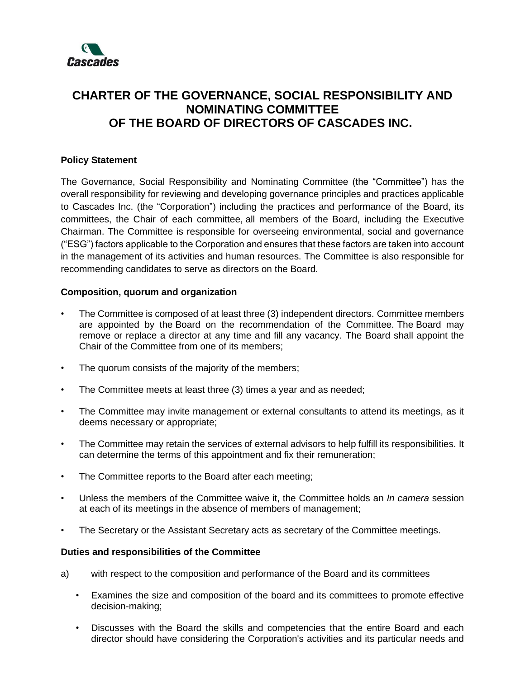

## **CHARTER OF THE GOVERNANCE, SOCIAL RESPONSIBILITY AND NOMINATING COMMITTEE OF THE BOARD OF DIRECTORS OF CASCADES INC.**

## **Policy Statement**

The Governance, Social Responsibility and Nominating Committee (the "Committee") has the overall responsibility for reviewing and developing governance principles and practices applicable to Cascades Inc. (the "Corporation") including the practices and performance of the Board, its committees, the Chair of each committee, all members of the Board, including the Executive Chairman. The Committee is responsible for overseeing environmental, social and governance ("ESG") factors applicable to the Corporation and ensures that these factors are taken into account in the management of its activities and human resources. The Committee is also responsible for recommending candidates to serve as directors on the Board.

## **Composition, quorum and organization**

- The Committee is composed of at least three (3) independent directors. Committee members are appointed by the Board on the recommendation of the Committee. The Board may remove or replace a director at any time and fill any vacancy. The Board shall appoint the Chair of the Committee from one of its members;
- The quorum consists of the majority of the members;
- The Committee meets at least three (3) times a year and as needed;
- The Committee may invite management or external consultants to attend its meetings, as it deems necessary or appropriate;
- The Committee may retain the services of external advisors to help fulfill its responsibilities. It can determine the terms of this appointment and fix their remuneration;
- The Committee reports to the Board after each meeting;
- Unless the members of the Committee waive it, the Committee holds an *In camera* session at each of its meetings in the absence of members of management;
- The Secretary or the Assistant Secretary acts as secretary of the Committee meetings.

## **Duties and responsibilities of the Committee**

- a) with respect to the composition and performance of the Board and its committees
	- Examines the size and composition of the board and its committees to promote effective decision-making;
	- Discusses with the Board the skills and competencies that the entire Board and each director should have considering the Corporation's activities and its particular needs and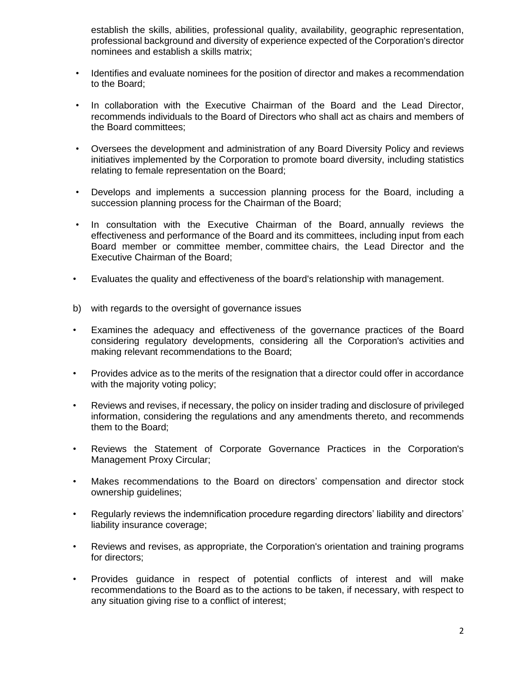establish the skills, abilities, professional quality, availability, geographic representation, professional background and diversity of experience expected of the Corporation's director nominees and establish a skills matrix;

- Identifies and evaluate nominees for the position of director and makes a recommendation to the Board;
- In collaboration with the Executive Chairman of the Board and the Lead Director, recommends individuals to the Board of Directors who shall act as chairs and members of the Board committees;
- Oversees the development and administration of any Board Diversity Policy and reviews initiatives implemented by the Corporation to promote board diversity, including statistics relating to female representation on the Board;
- Develops and implements a succession planning process for the Board, including a succession planning process for the Chairman of the Board;
- In consultation with the Executive Chairman of the Board, annually reviews the effectiveness and performance of the Board and its committees, including input from each Board member or committee member, committee chairs, the Lead Director and the Executive Chairman of the Board;
- Evaluates the quality and effectiveness of the board's relationship with management.
- b) with regards to the oversight of governance issues
- Examines the adequacy and effectiveness of the governance practices of the Board considering regulatory developments, considering all the Corporation's activities and making relevant recommendations to the Board;
- Provides advice as to the merits of the resignation that a director could offer in accordance with the majority voting policy;
- Reviews and revises, if necessary, the policy on insider trading and disclosure of privileged information, considering the regulations and any amendments thereto, and recommends them to the Board;
- Reviews the Statement of Corporate Governance Practices in the Corporation's Management Proxy Circular;
- Makes recommendations to the Board on directors' compensation and director stock ownership guidelines;
- Regularly reviews the indemnification procedure regarding directors' liability and directors' liability insurance coverage;
- Reviews and revises, as appropriate, the Corporation's orientation and training programs for directors;
- Provides guidance in respect of potential conflicts of interest and will make recommendations to the Board as to the actions to be taken, if necessary, with respect to any situation giving rise to a conflict of interest;